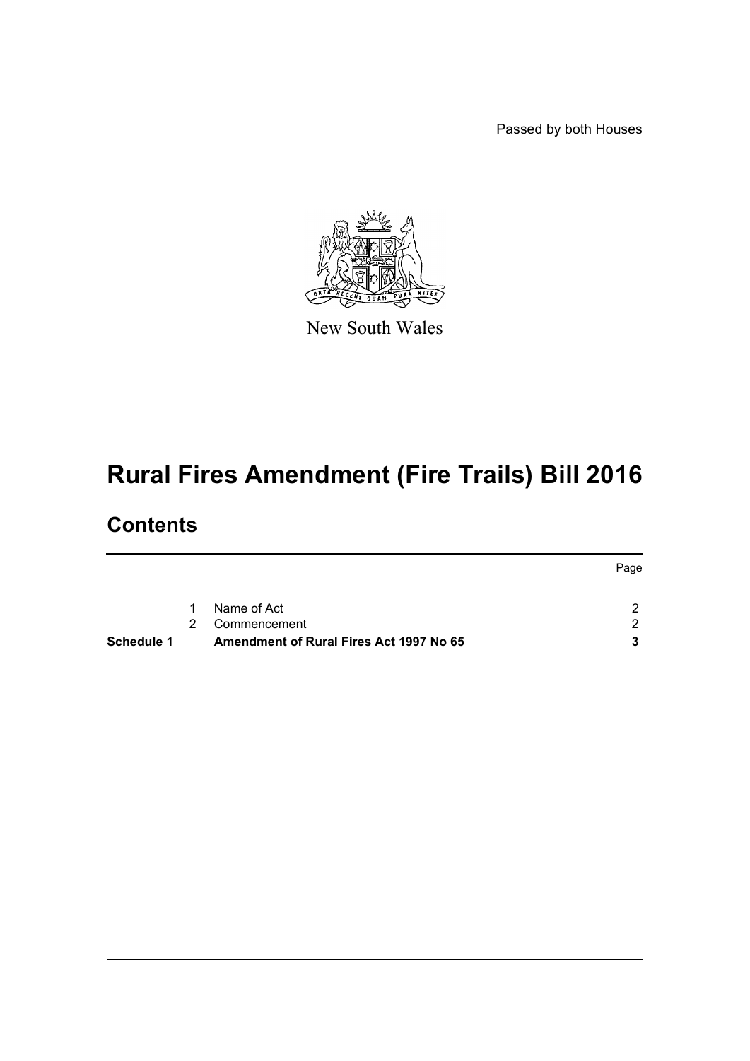Passed by both Houses



New South Wales

# **Rural Fires Amendment (Fire Trails) Bill 2016**

# **Contents**

|            |   |                                         | Page |  |
|------------|---|-----------------------------------------|------|--|
|            |   |                                         |      |  |
|            | 1 | Name of Act                             |      |  |
|            | 2 | Commencement                            |      |  |
| Schedule 1 |   | Amendment of Rural Fires Act 1997 No 65 |      |  |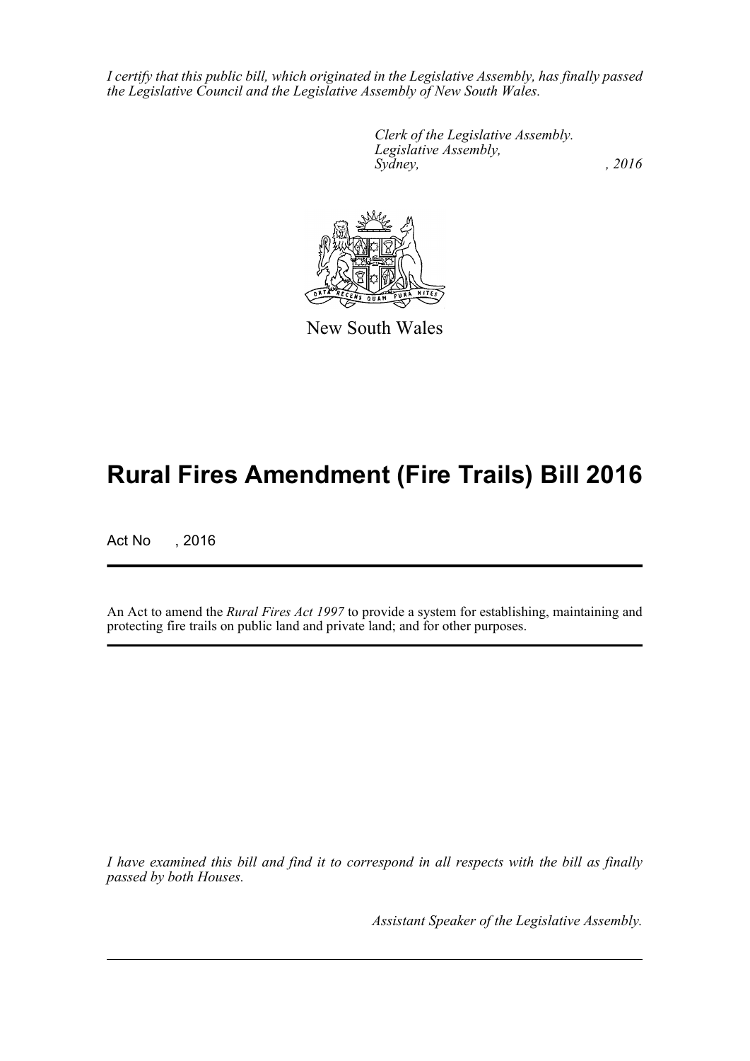*I certify that this public bill, which originated in the Legislative Assembly, has finally passed the Legislative Council and the Legislative Assembly of New South Wales.*

> *Clerk of the Legislative Assembly. Legislative Assembly, Sydney,* , 2016



New South Wales

# **Rural Fires Amendment (Fire Trails) Bill 2016**

Act No , 2016

An Act to amend the *Rural Fires Act 1997* to provide a system for establishing, maintaining and protecting fire trails on public land and private land; and for other purposes.

*I have examined this bill and find it to correspond in all respects with the bill as finally passed by both Houses.*

*Assistant Speaker of the Legislative Assembly.*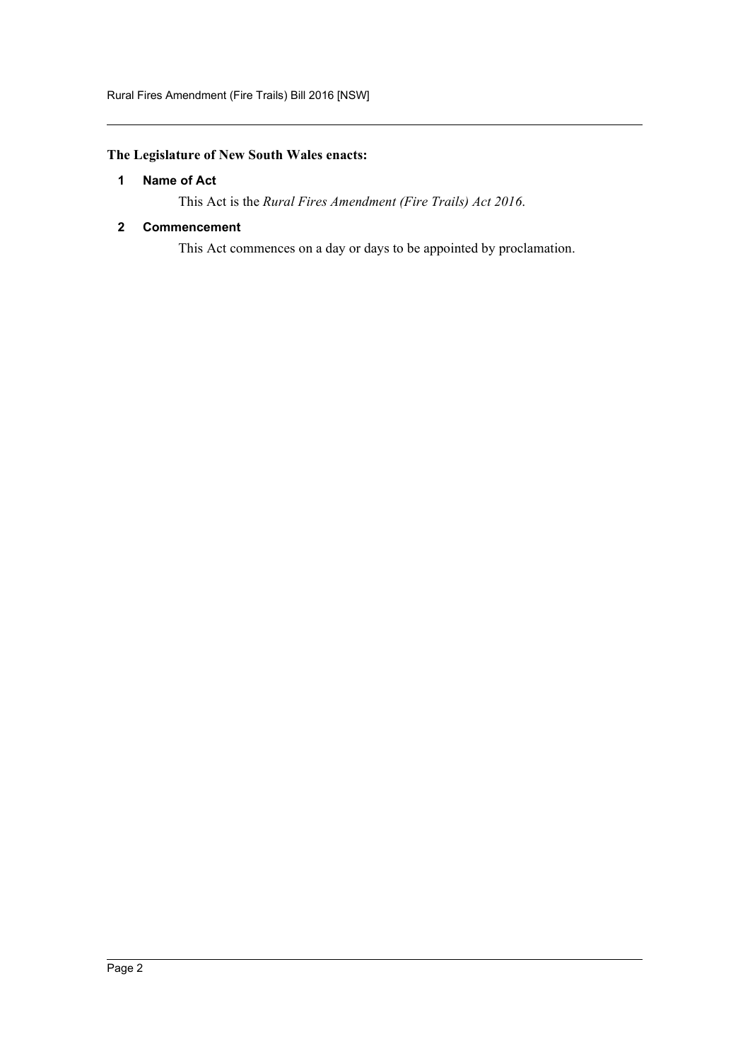# <span id="page-2-0"></span>**The Legislature of New South Wales enacts:**

## **1 Name of Act**

This Act is the *Rural Fires Amendment (Fire Trails) Act 2016*.

## <span id="page-2-1"></span>**2 Commencement**

This Act commences on a day or days to be appointed by proclamation.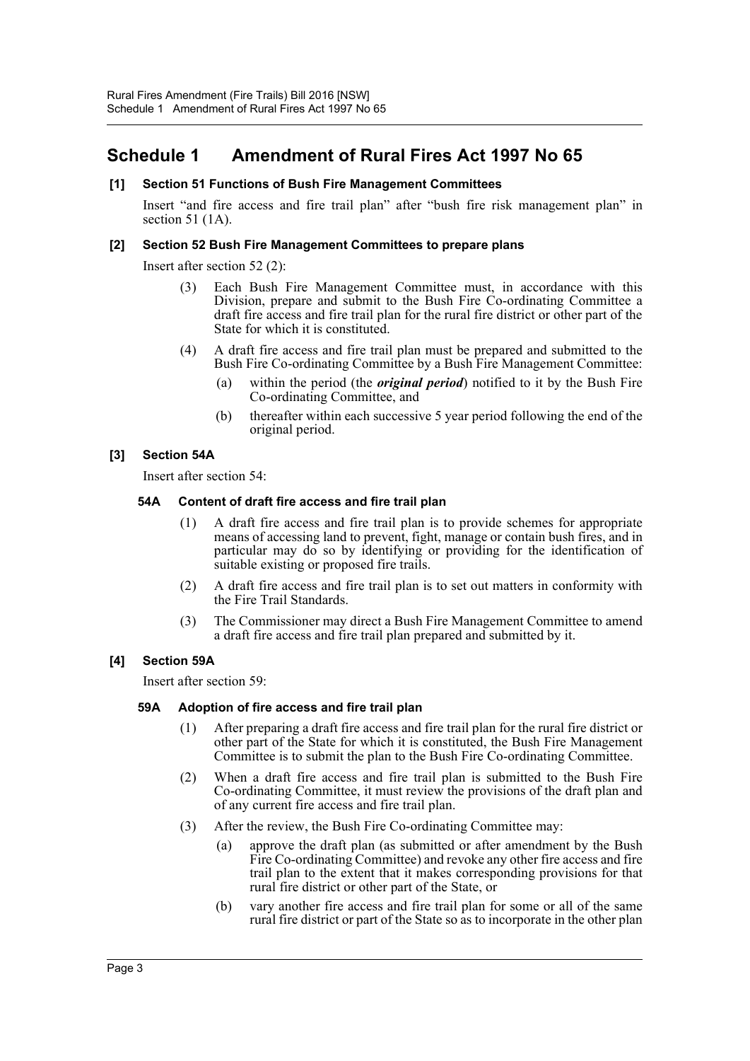# <span id="page-3-0"></span>**Schedule 1 Amendment of Rural Fires Act 1997 No 65**

## **[1] Section 51 Functions of Bush Fire Management Committees**

Insert "and fire access and fire trail plan" after "bush fire risk management plan" in section 51 (1A).

## **[2] Section 52 Bush Fire Management Committees to prepare plans**

Insert after section 52 (2):

- (3) Each Bush Fire Management Committee must, in accordance with this Division, prepare and submit to the Bush Fire Co-ordinating Committee a draft fire access and fire trail plan for the rural fire district or other part of the State for which it is constituted.
- (4) A draft fire access and fire trail plan must be prepared and submitted to the Bush Fire Co-ordinating Committee by a Bush Fire Management Committee:
	- (a) within the period (the *original period*) notified to it by the Bush Fire Co-ordinating Committee, and
	- (b) thereafter within each successive 5 year period following the end of the original period.

## **[3] Section 54A**

Insert after section 54:

## **54A Content of draft fire access and fire trail plan**

- (1) A draft fire access and fire trail plan is to provide schemes for appropriate means of accessing land to prevent, fight, manage or contain bush fires, and in particular may do so by identifying or providing for the identification of suitable existing or proposed fire trails.
- (2) A draft fire access and fire trail plan is to set out matters in conformity with the Fire Trail Standards.
- (3) The Commissioner may direct a Bush Fire Management Committee to amend a draft fire access and fire trail plan prepared and submitted by it.

## **[4] Section 59A**

Insert after section 59:

## **59A Adoption of fire access and fire trail plan**

- (1) After preparing a draft fire access and fire trail plan for the rural fire district or other part of the State for which it is constituted, the Bush Fire Management Committee is to submit the plan to the Bush Fire Co-ordinating Committee.
- (2) When a draft fire access and fire trail plan is submitted to the Bush Fire Co-ordinating Committee, it must review the provisions of the draft plan and of any current fire access and fire trail plan.
- (3) After the review, the Bush Fire Co-ordinating Committee may:
	- (a) approve the draft plan (as submitted or after amendment by the Bush Fire Co-ordinating Committee) and revoke any other fire access and fire trail plan to the extent that it makes corresponding provisions for that rural fire district or other part of the State, or
	- (b) vary another fire access and fire trail plan for some or all of the same rural fire district or part of the State so as to incorporate in the other plan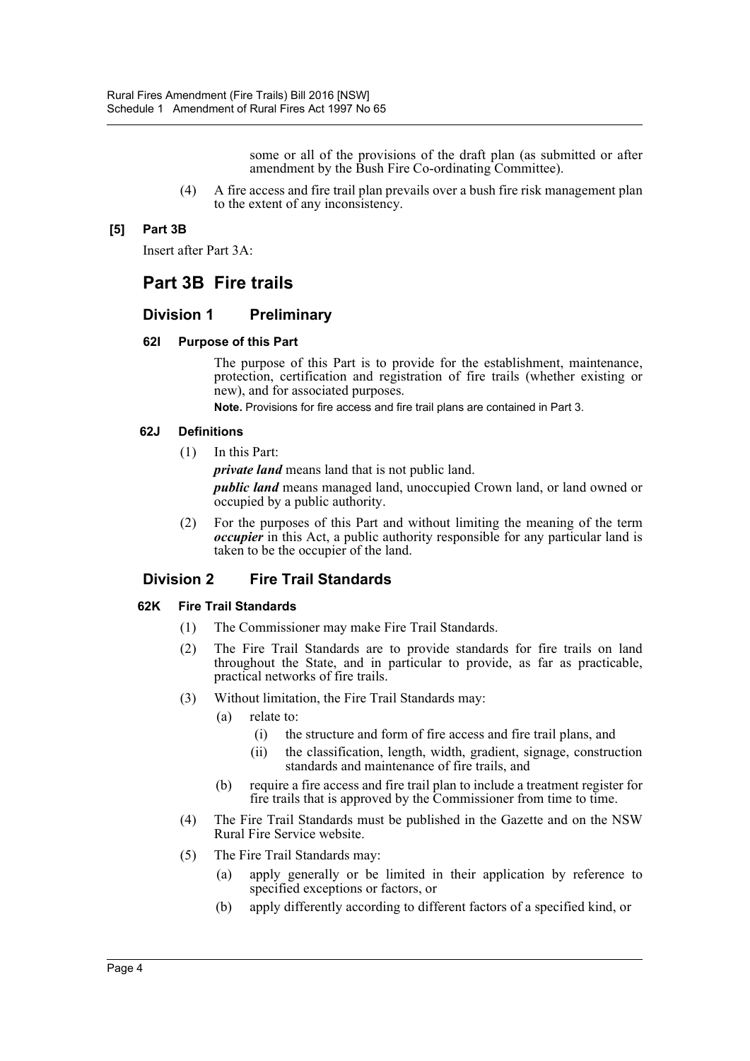some or all of the provisions of the draft plan (as submitted or after amendment by the Bush Fire Co-ordinating Committee).

(4) A fire access and fire trail plan prevails over a bush fire risk management plan to the extent of any inconsistency.

## **[5] Part 3B**

Insert after Part 3A:

# **Part 3B Fire trails**

## **Division 1 Preliminary**

## **62I Purpose of this Part**

The purpose of this Part is to provide for the establishment, maintenance, protection, certification and registration of fire trails (whether existing or new), and for associated purposes.

**Note.** Provisions for fire access and fire trail plans are contained in Part 3.

## **62J Definitions**

(1) In this Part:

*private land* means land that is not public land.

*public land* means managed land, unoccupied Crown land, or land owned or occupied by a public authority.

(2) For the purposes of this Part and without limiting the meaning of the term *occupier* in this Act, a public authority responsible for any particular land is taken to be the occupier of the land.

## **Division 2 Fire Trail Standards**

## **62K Fire Trail Standards**

- (1) The Commissioner may make Fire Trail Standards.
- (2) The Fire Trail Standards are to provide standards for fire trails on land throughout the State, and in particular to provide, as far as practicable, practical networks of fire trails.
- (3) Without limitation, the Fire Trail Standards may:
	- (a) relate to:
		- (i) the structure and form of fire access and fire trail plans, and
		- (ii) the classification, length, width, gradient, signage, construction standards and maintenance of fire trails, and
	- (b) require a fire access and fire trail plan to include a treatment register for fire trails that is approved by the Commissioner from time to time.
- (4) The Fire Trail Standards must be published in the Gazette and on the NSW Rural Fire Service website.
- (5) The Fire Trail Standards may:
	- (a) apply generally or be limited in their application by reference to specified exceptions or factors, or
	- (b) apply differently according to different factors of a specified kind, or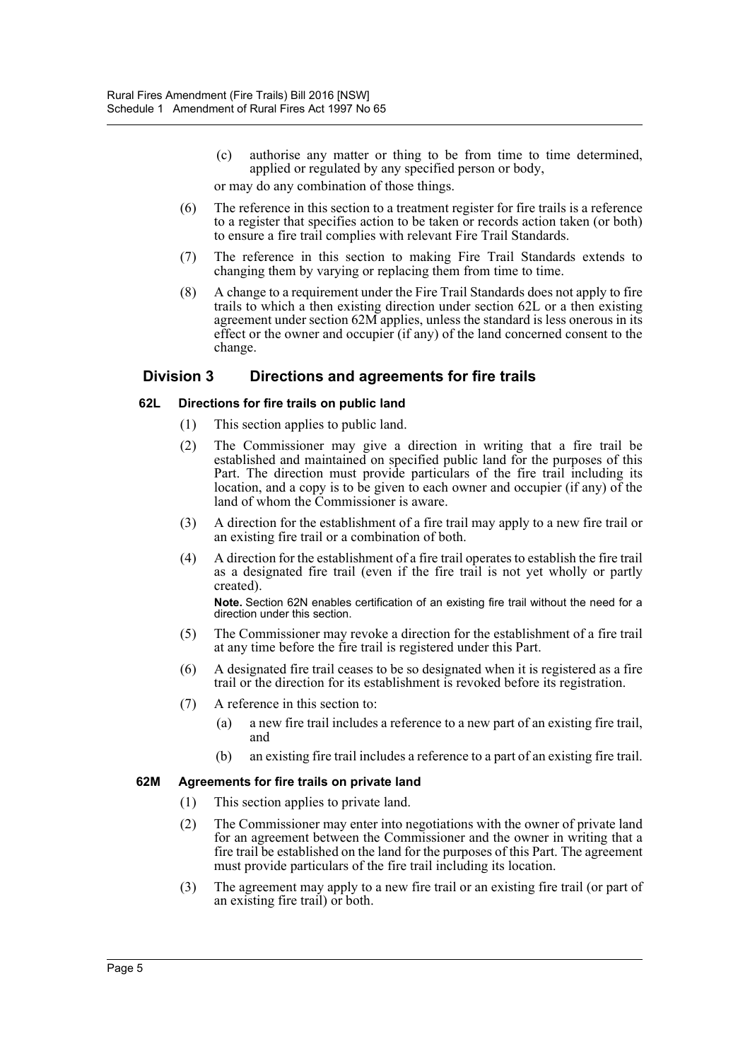(c) authorise any matter or thing to be from time to time determined, applied or regulated by any specified person or body,

or may do any combination of those things.

- (6) The reference in this section to a treatment register for fire trails is a reference to a register that specifies action to be taken or records action taken (or both) to ensure a fire trail complies with relevant Fire Trail Standards.
- (7) The reference in this section to making Fire Trail Standards extends to changing them by varying or replacing them from time to time.
- (8) A change to a requirement under the Fire Trail Standards does not apply to fire trails to which a then existing direction under section 62L or a then existing agreement under section 62M applies, unless the standard is less onerous in its effect or the owner and occupier (if any) of the land concerned consent to the change.

## **Division 3 Directions and agreements for fire trails**

## **62L Directions for fire trails on public land**

- (1) This section applies to public land.
- (2) The Commissioner may give a direction in writing that a fire trail be established and maintained on specified public land for the purposes of this Part. The direction must provide particulars of the fire trail including its location, and a copy is to be given to each owner and occupier (if any) of the land of whom the Commissioner is aware.
- (3) A direction for the establishment of a fire trail may apply to a new fire trail or an existing fire trail or a combination of both.
- (4) A direction for the establishment of a fire trail operates to establish the fire trail as a designated fire trail (even if the fire trail is not yet wholly or partly created).

**Note.** Section 62N enables certification of an existing fire trail without the need for a direction under this section.

- (5) The Commissioner may revoke a direction for the establishment of a fire trail at any time before the fire trail is registered under this Part.
- (6) A designated fire trail ceases to be so designated when it is registered as a fire trail or the direction for its establishment is revoked before its registration.
- (7) A reference in this section to:
	- (a) a new fire trail includes a reference to a new part of an existing fire trail, and
	- (b) an existing fire trail includes a reference to a part of an existing fire trail.

## **62M Agreements for fire trails on private land**

- (1) This section applies to private land.
- (2) The Commissioner may enter into negotiations with the owner of private land for an agreement between the Commissioner and the owner in writing that a fire trail be established on the land for the purposes of this Part. The agreement must provide particulars of the fire trail including its location.
- (3) The agreement may apply to a new fire trail or an existing fire trail (or part of an existing fire trail) or both.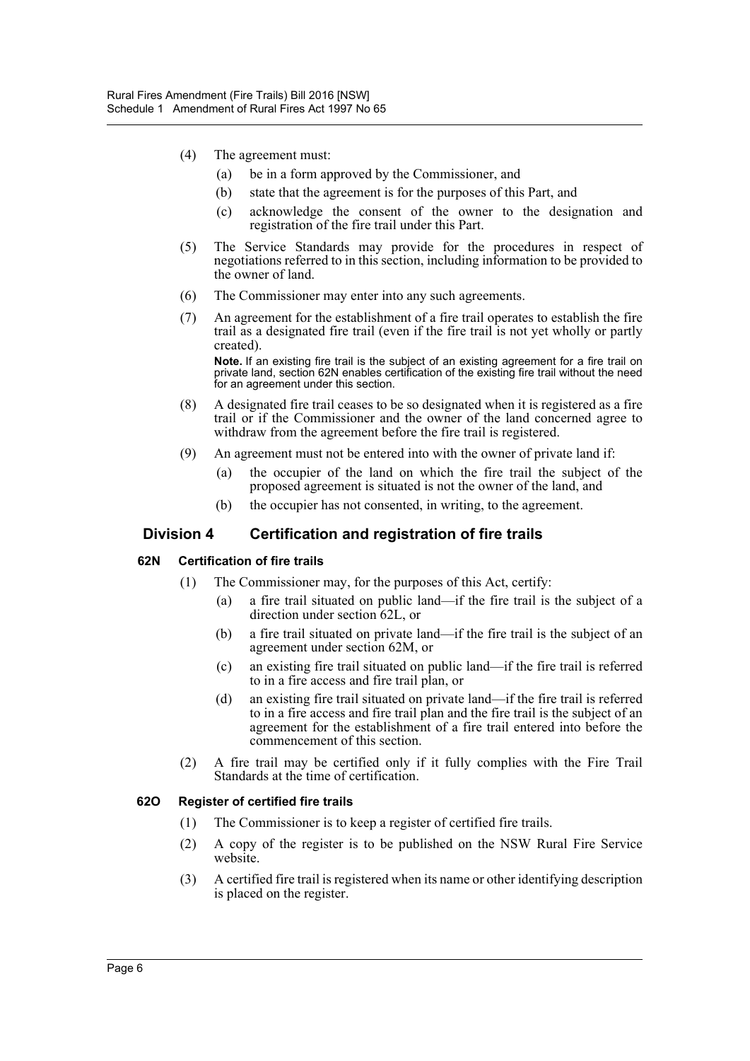- (4) The agreement must:
	- (a) be in a form approved by the Commissioner, and
	- (b) state that the agreement is for the purposes of this Part, and
	- (c) acknowledge the consent of the owner to the designation and registration of the fire trail under this Part.
- (5) The Service Standards may provide for the procedures in respect of negotiations referred to in this section, including information to be provided to the owner of land.
- (6) The Commissioner may enter into any such agreements.
- (7) An agreement for the establishment of a fire trail operates to establish the fire trail as a designated fire trail (even if the fire trail is not yet wholly or partly created).

**Note.** If an existing fire trail is the subject of an existing agreement for a fire trail on private land, section 62N enables certification of the existing fire trail without the need for an agreement under this section.

- (8) A designated fire trail ceases to be so designated when it is registered as a fire trail or if the Commissioner and the owner of the land concerned agree to withdraw from the agreement before the fire trail is registered.
- (9) An agreement must not be entered into with the owner of private land if:
	- (a) the occupier of the land on which the fire trail the subject of the proposed agreement is situated is not the owner of the land, and
	- (b) the occupier has not consented, in writing, to the agreement.

## **Division 4 Certification and registration of fire trails**

## **62N Certification of fire trails**

- (1) The Commissioner may, for the purposes of this Act, certify:
	- (a) a fire trail situated on public land—if the fire trail is the subject of a direction under section 62L, or
	- (b) a fire trail situated on private land—if the fire trail is the subject of an agreement under section 62M, or
	- (c) an existing fire trail situated on public land—if the fire trail is referred to in a fire access and fire trail plan, or
	- (d) an existing fire trail situated on private land—if the fire trail is referred to in a fire access and fire trail plan and the fire trail is the subject of an agreement for the establishment of a fire trail entered into before the commencement of this section.
- (2) A fire trail may be certified only if it fully complies with the Fire Trail Standards at the time of certification.

## **62O Register of certified fire trails**

- (1) The Commissioner is to keep a register of certified fire trails.
- (2) A copy of the register is to be published on the NSW Rural Fire Service website.
- (3) A certified fire trail is registered when its name or other identifying description is placed on the register.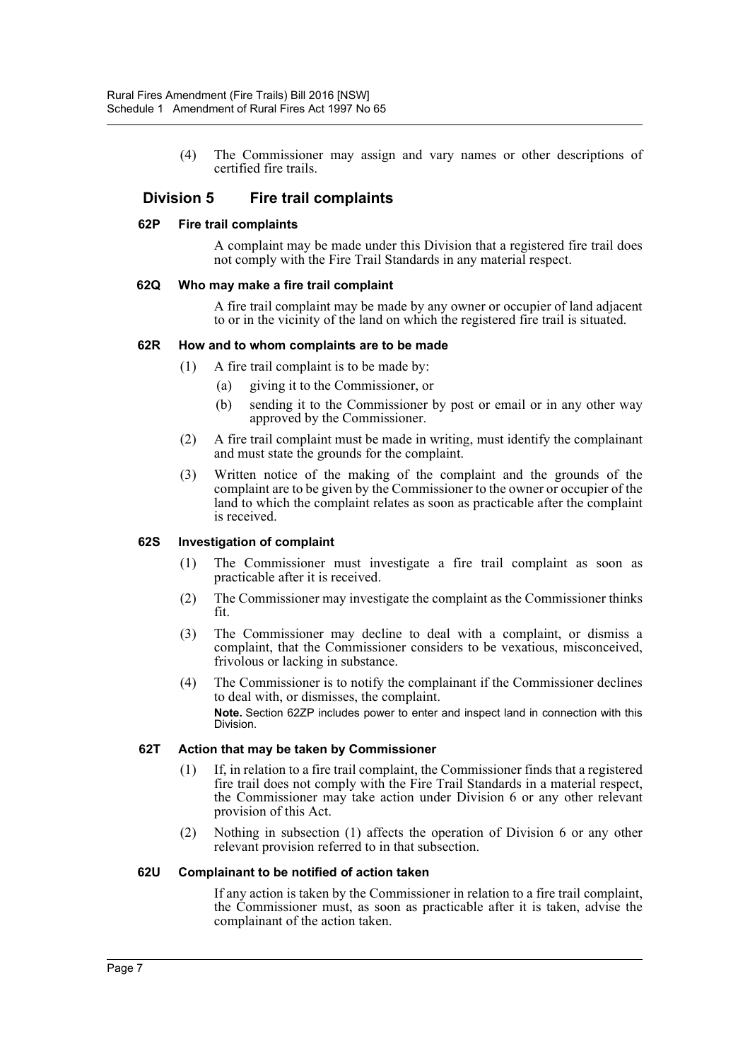(4) The Commissioner may assign and vary names or other descriptions of certified fire trails.

## **Division 5 Fire trail complaints**

#### **62P Fire trail complaints**

A complaint may be made under this Division that a registered fire trail does not comply with the Fire Trail Standards in any material respect.

#### **62Q Who may make a fire trail complaint**

A fire trail complaint may be made by any owner or occupier of land adjacent to or in the vicinity of the land on which the registered fire trail is situated.

#### **62R How and to whom complaints are to be made**

- (1) A fire trail complaint is to be made by:
	- (a) giving it to the Commissioner, or
	- (b) sending it to the Commissioner by post or email or in any other way approved by the Commissioner.
- (2) A fire trail complaint must be made in writing, must identify the complainant and must state the grounds for the complaint.
- (3) Written notice of the making of the complaint and the grounds of the complaint are to be given by the Commissioner to the owner or occupier of the land to which the complaint relates as soon as practicable after the complaint is received.

#### **62S Investigation of complaint**

- (1) The Commissioner must investigate a fire trail complaint as soon as practicable after it is received.
- (2) The Commissioner may investigate the complaint as the Commissioner thinks fit.
- (3) The Commissioner may decline to deal with a complaint, or dismiss a complaint, that the Commissioner considers to be vexatious, misconceived, frivolous or lacking in substance.
- (4) The Commissioner is to notify the complainant if the Commissioner declines to deal with, or dismisses, the complaint. **Note.** Section 62ZP includes power to enter and inspect land in connection with this Division.

## **62T Action that may be taken by Commissioner**

- (1) If, in relation to a fire trail complaint, the Commissioner finds that a registered fire trail does not comply with the Fire Trail Standards in a material respect, the Commissioner may take action under Division 6 or any other relevant provision of this Act.
- (2) Nothing in subsection (1) affects the operation of Division 6 or any other relevant provision referred to in that subsection.

#### **62U Complainant to be notified of action taken**

If any action is taken by the Commissioner in relation to a fire trail complaint, the Commissioner must, as soon as practicable after it is taken, advise the complainant of the action taken.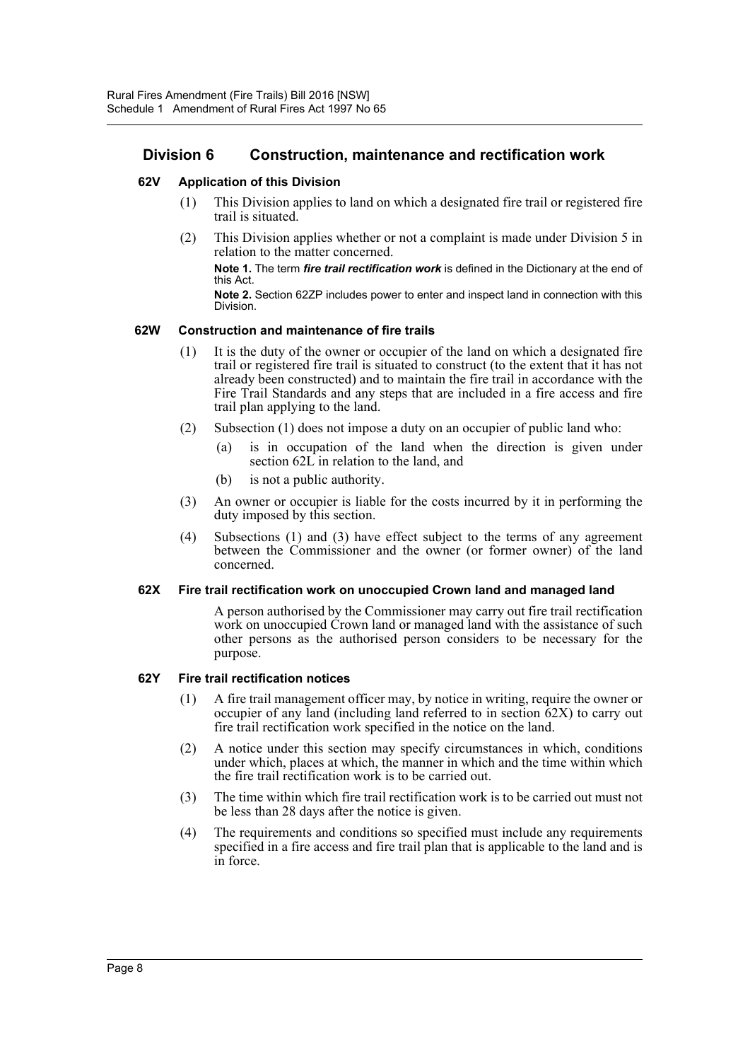## **Division 6 Construction, maintenance and rectification work**

## **62V Application of this Division**

- (1) This Division applies to land on which a designated fire trail or registered fire trail is situated.
- (2) This Division applies whether or not a complaint is made under Division 5 in relation to the matter concerned.

**Note 1.** The term *fire trail rectification work* is defined in the Dictionary at the end of this Act.

**Note 2.** Section 62ZP includes power to enter and inspect land in connection with this Division.

#### **62W Construction and maintenance of fire trails**

- (1) It is the duty of the owner or occupier of the land on which a designated fire trail or registered fire trail is situated to construct (to the extent that it has not already been constructed) and to maintain the fire trail in accordance with the Fire Trail Standards and any steps that are included in a fire access and fire trail plan applying to the land.
- (2) Subsection (1) does not impose a duty on an occupier of public land who:
	- (a) is in occupation of the land when the direction is given under section 62L in relation to the land, and
	- (b) is not a public authority.
- (3) An owner or occupier is liable for the costs incurred by it in performing the duty imposed by this section.
- (4) Subsections (1) and (3) have effect subject to the terms of any agreement between the Commissioner and the owner (or former owner) of the land concerned.

#### **62X Fire trail rectification work on unoccupied Crown land and managed land**

A person authorised by the Commissioner may carry out fire trail rectification work on unoccupied Crown land or managed land with the assistance of such other persons as the authorised person considers to be necessary for the purpose.

#### **62Y Fire trail rectification notices**

- (1) A fire trail management officer may, by notice in writing, require the owner or occupier of any land (including land referred to in section 62X) to carry out fire trail rectification work specified in the notice on the land.
- (2) A notice under this section may specify circumstances in which, conditions under which, places at which, the manner in which and the time within which the fire trail rectification work is to be carried out.
- (3) The time within which fire trail rectification work is to be carried out must not be less than 28 days after the notice is given.
- (4) The requirements and conditions so specified must include any requirements specified in a fire access and fire trail plan that is applicable to the land and is in force.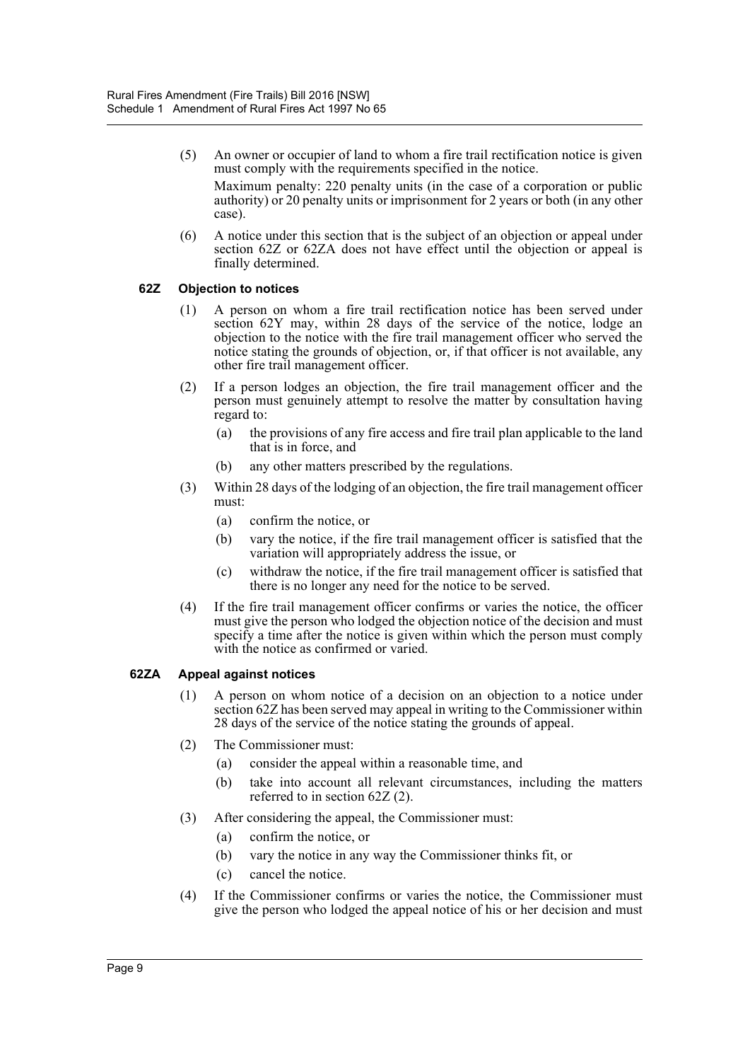- (5) An owner or occupier of land to whom a fire trail rectification notice is given must comply with the requirements specified in the notice. Maximum penalty: 220 penalty units (in the case of a corporation or public authority) or 20 penalty units or imprisonment for 2 years or both (in any other case).
- (6) A notice under this section that is the subject of an objection or appeal under section 62Z or 62ZA does not have effect until the objection or appeal is finally determined.

## **62Z Objection to notices**

- (1) A person on whom a fire trail rectification notice has been served under section 62Y may, within 28 days of the service of the notice, lodge an objection to the notice with the fire trail management officer who served the notice stating the grounds of objection, or, if that officer is not available, any other fire trail management officer.
- (2) If a person lodges an objection, the fire trail management officer and the person must genuinely attempt to resolve the matter by consultation having regard to:
	- (a) the provisions of any fire access and fire trail plan applicable to the land that is in force, and
	- (b) any other matters prescribed by the regulations.
- (3) Within 28 days of the lodging of an objection, the fire trail management officer must:
	- (a) confirm the notice, or
	- (b) vary the notice, if the fire trail management officer is satisfied that the variation will appropriately address the issue, or
	- (c) withdraw the notice, if the fire trail management officer is satisfied that there is no longer any need for the notice to be served.
- (4) If the fire trail management officer confirms or varies the notice, the officer must give the person who lodged the objection notice of the decision and must specify a time after the notice is given within which the person must comply with the notice as confirmed or varied.

## **62ZA Appeal against notices**

- (1) A person on whom notice of a decision on an objection to a notice under section 62Z has been served may appeal in writing to the Commissioner within 28 days of the service of the notice stating the grounds of appeal.
- (2) The Commissioner must:
	- (a) consider the appeal within a reasonable time, and
	- (b) take into account all relevant circumstances, including the matters referred to in section 62Z (2).
- (3) After considering the appeal, the Commissioner must:
	- (a) confirm the notice, or
	- (b) vary the notice in any way the Commissioner thinks fit, or
	- (c) cancel the notice.
- (4) If the Commissioner confirms or varies the notice, the Commissioner must give the person who lodged the appeal notice of his or her decision and must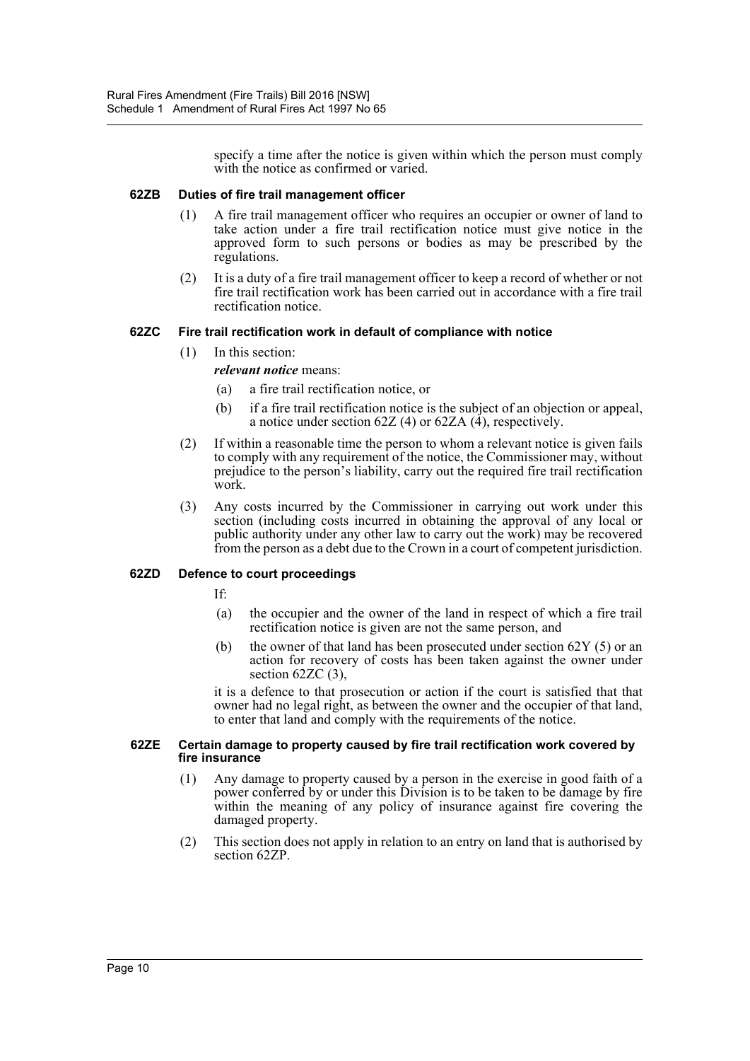specify a time after the notice is given within which the person must comply with the notice as confirmed or varied.

## **62ZB Duties of fire trail management officer**

- (1) A fire trail management officer who requires an occupier or owner of land to take action under a fire trail rectification notice must give notice in the approved form to such persons or bodies as may be prescribed by the regulations.
- (2) It is a duty of a fire trail management officer to keep a record of whether or not fire trail rectification work has been carried out in accordance with a fire trail rectification notice.

#### **62ZC Fire trail rectification work in default of compliance with notice**

- (1) In this section:
	- *relevant notice* means:
	- (a) a fire trail rectification notice, or
	- (b) if a fire trail rectification notice is the subject of an objection or appeal, a notice under section 62Z (4) or 62ZA  $(\tilde{4})$ , respectively.
- (2) If within a reasonable time the person to whom a relevant notice is given fails to comply with any requirement of the notice, the Commissioner may, without prejudice to the person's liability, carry out the required fire trail rectification work.
- (3) Any costs incurred by the Commissioner in carrying out work under this section (including costs incurred in obtaining the approval of any local or public authority under any other law to carry out the work) may be recovered from the person as a debt due to the Crown in a court of competent jurisdiction.

## **62ZD Defence to court proceedings**

If:

- (a) the occupier and the owner of the land in respect of which a fire trail rectification notice is given are not the same person, and
- (b) the owner of that land has been prosecuted under section  $62Y(5)$  or an action for recovery of costs has been taken against the owner under section 62ZC (3),

it is a defence to that prosecution or action if the court is satisfied that that owner had no legal right, as between the owner and the occupier of that land, to enter that land and comply with the requirements of the notice.

#### **62ZE Certain damage to property caused by fire trail rectification work covered by fire insurance**

- (1) Any damage to property caused by a person in the exercise in good faith of a power conferred by or under this Division is to be taken to be damage by fire within the meaning of any policy of insurance against fire covering the damaged property.
- (2) This section does not apply in relation to an entry on land that is authorised by section 62ZP.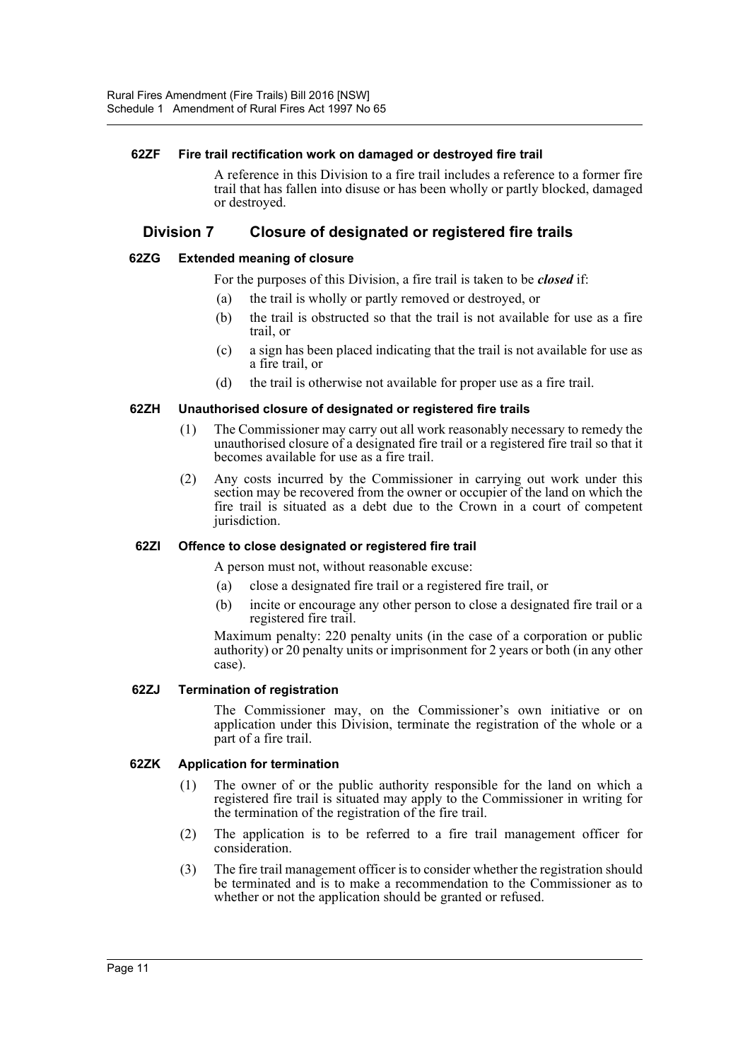## **62ZF Fire trail rectification work on damaged or destroyed fire trail**

A reference in this Division to a fire trail includes a reference to a former fire trail that has fallen into disuse or has been wholly or partly blocked, damaged or destroyed.

## **Division 7 Closure of designated or registered fire trails**

#### **62ZG Extended meaning of closure**

For the purposes of this Division, a fire trail is taken to be *closed* if:

- (a) the trail is wholly or partly removed or destroyed, or
- (b) the trail is obstructed so that the trail is not available for use as a fire trail, or
- (c) a sign has been placed indicating that the trail is not available for use as a fire trail, or
- (d) the trail is otherwise not available for proper use as a fire trail.

#### **62ZH Unauthorised closure of designated or registered fire trails**

- (1) The Commissioner may carry out all work reasonably necessary to remedy the unauthorised closure of a designated fire trail or a registered fire trail so that it becomes available for use as a fire trail.
- (2) Any costs incurred by the Commissioner in carrying out work under this section may be recovered from the owner or occupier of the land on which the fire trail is situated as a debt due to the Crown in a court of competent jurisdiction.

#### **62ZI Offence to close designated or registered fire trail**

A person must not, without reasonable excuse:

- (a) close a designated fire trail or a registered fire trail, or
- (b) incite or encourage any other person to close a designated fire trail or a registered fire trail.

Maximum penalty: 220 penalty units (in the case of a corporation or public authority) or 20 penalty units or imprisonment for 2 years or both (in any other case).

#### **62ZJ Termination of registration**

The Commissioner may, on the Commissioner's own initiative or on application under this Division, terminate the registration of the whole or a part of a fire trail.

## **62ZK Application for termination**

- (1) The owner of or the public authority responsible for the land on which a registered fire trail is situated may apply to the Commissioner in writing for the termination of the registration of the fire trail.
- (2) The application is to be referred to a fire trail management officer for consideration.
- (3) The fire trail management officer is to consider whether the registration should be terminated and is to make a recommendation to the Commissioner as to whether or not the application should be granted or refused.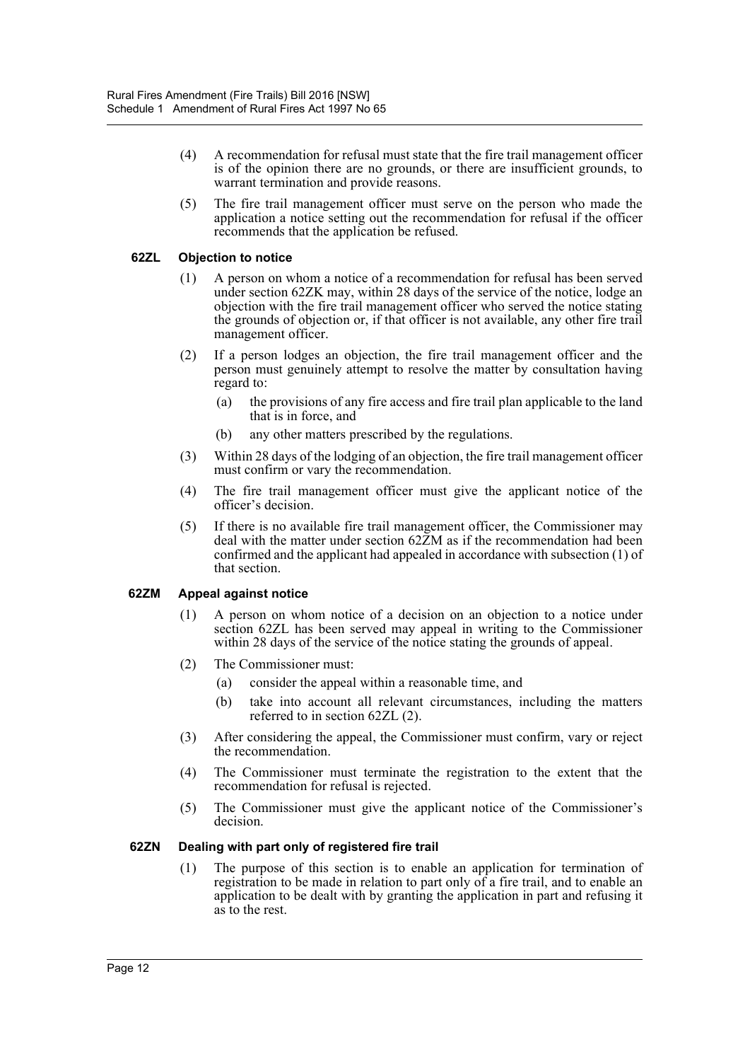- (4) A recommendation for refusal must state that the fire trail management officer is of the opinion there are no grounds, or there are insufficient grounds, to warrant termination and provide reasons.
- (5) The fire trail management officer must serve on the person who made the application a notice setting out the recommendation for refusal if the officer recommends that the application be refused.

## **62ZL Objection to notice**

- (1) A person on whom a notice of a recommendation for refusal has been served under section 62ZK may, within 28 days of the service of the notice, lodge an objection with the fire trail management officer who served the notice stating the grounds of objection or, if that officer is not available, any other fire trail management officer.
- (2) If a person lodges an objection, the fire trail management officer and the person must genuinely attempt to resolve the matter by consultation having regard to:
	- (a) the provisions of any fire access and fire trail plan applicable to the land that is in force, and
	- (b) any other matters prescribed by the regulations.
- (3) Within 28 days of the lodging of an objection, the fire trail management officer must confirm or vary the recommendation.
- (4) The fire trail management officer must give the applicant notice of the officer's decision.
- (5) If there is no available fire trail management officer, the Commissioner may deal with the matter under section 62ZM as if the recommendation had been confirmed and the applicant had appealed in accordance with subsection (1) of that section.

## **62ZM Appeal against notice**

- (1) A person on whom notice of a decision on an objection to a notice under section 62ZL has been served may appeal in writing to the Commissioner within 28 days of the service of the notice stating the grounds of appeal.
- (2) The Commissioner must:
	- (a) consider the appeal within a reasonable time, and
	- (b) take into account all relevant circumstances, including the matters referred to in section 62ZL (2).
- (3) After considering the appeal, the Commissioner must confirm, vary or reject the recommendation.
- (4) The Commissioner must terminate the registration to the extent that the recommendation for refusal is rejected.
- (5) The Commissioner must give the applicant notice of the Commissioner's decision.

## **62ZN Dealing with part only of registered fire trail**

(1) The purpose of this section is to enable an application for termination of registration to be made in relation to part only of a fire trail, and to enable an application to be dealt with by granting the application in part and refusing it as to the rest.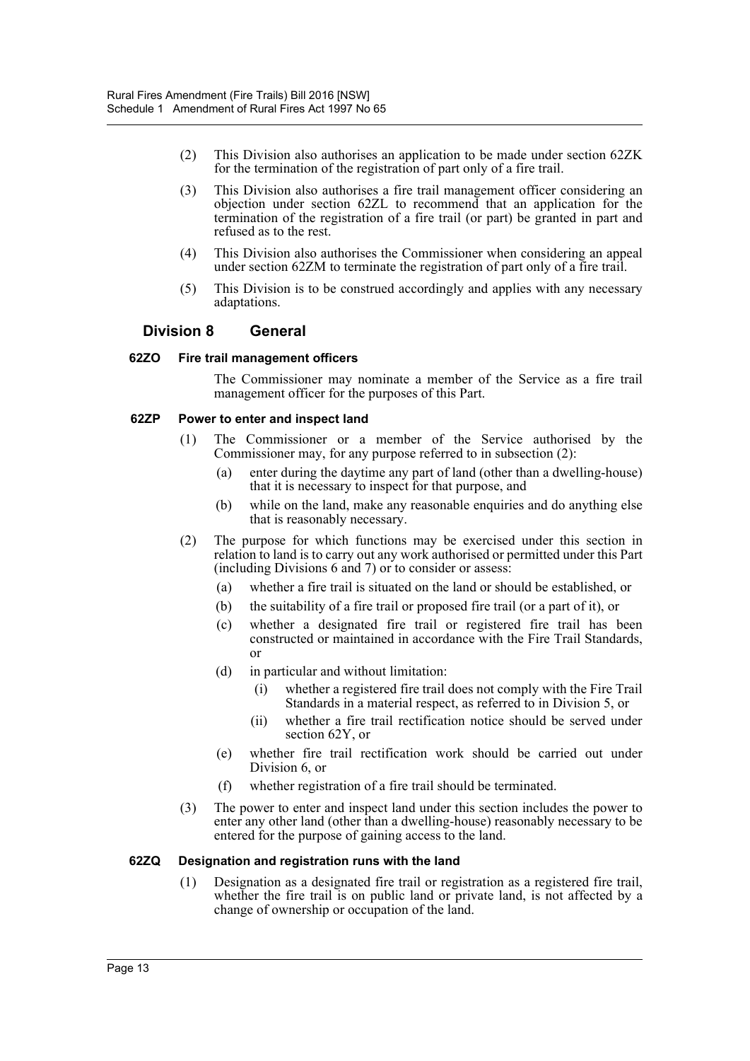- (2) This Division also authorises an application to be made under section 62ZK for the termination of the registration of part only of a fire trail.
- (3) This Division also authorises a fire trail management officer considering an objection under section 62ZL to recommend that an application for the termination of the registration of a fire trail (or part) be granted in part and refused as to the rest.
- (4) This Division also authorises the Commissioner when considering an appeal under section 62ZM to terminate the registration of part only of a fire trail.
- (5) This Division is to be construed accordingly and applies with any necessary adaptations.

## **Division 8 General**

## **62ZO Fire trail management officers**

The Commissioner may nominate a member of the Service as a fire trail management officer for the purposes of this Part.

## **62ZP Power to enter and inspect land**

- (1) The Commissioner or a member of the Service authorised by the Commissioner may, for any purpose referred to in subsection (2):
	- (a) enter during the daytime any part of land (other than a dwelling-house) that it is necessary to inspect for that purpose, and
	- (b) while on the land, make any reasonable enquiries and do anything else that is reasonably necessary.
- (2) The purpose for which functions may be exercised under this section in relation to land is to carry out any work authorised or permitted under this Part (including Divisions 6 and 7) or to consider or assess:
	- (a) whether a fire trail is situated on the land or should be established, or
	- (b) the suitability of a fire trail or proposed fire trail (or a part of it), or
	- (c) whether a designated fire trail or registered fire trail has been constructed or maintained in accordance with the Fire Trail Standards, or
	- (d) in particular and without limitation:
		- (i) whether a registered fire trail does not comply with the Fire Trail Standards in a material respect, as referred to in Division 5, or
		- (ii) whether a fire trail rectification notice should be served under section 62Y, or
	- (e) whether fire trail rectification work should be carried out under Division 6, or
	- (f) whether registration of a fire trail should be terminated.
- (3) The power to enter and inspect land under this section includes the power to enter any other land (other than a dwelling-house) reasonably necessary to be entered for the purpose of gaining access to the land.

## **62ZQ Designation and registration runs with the land**

(1) Designation as a designated fire trail or registration as a registered fire trail, whether the fire trail is on public land or private land, is not affected by a change of ownership or occupation of the land.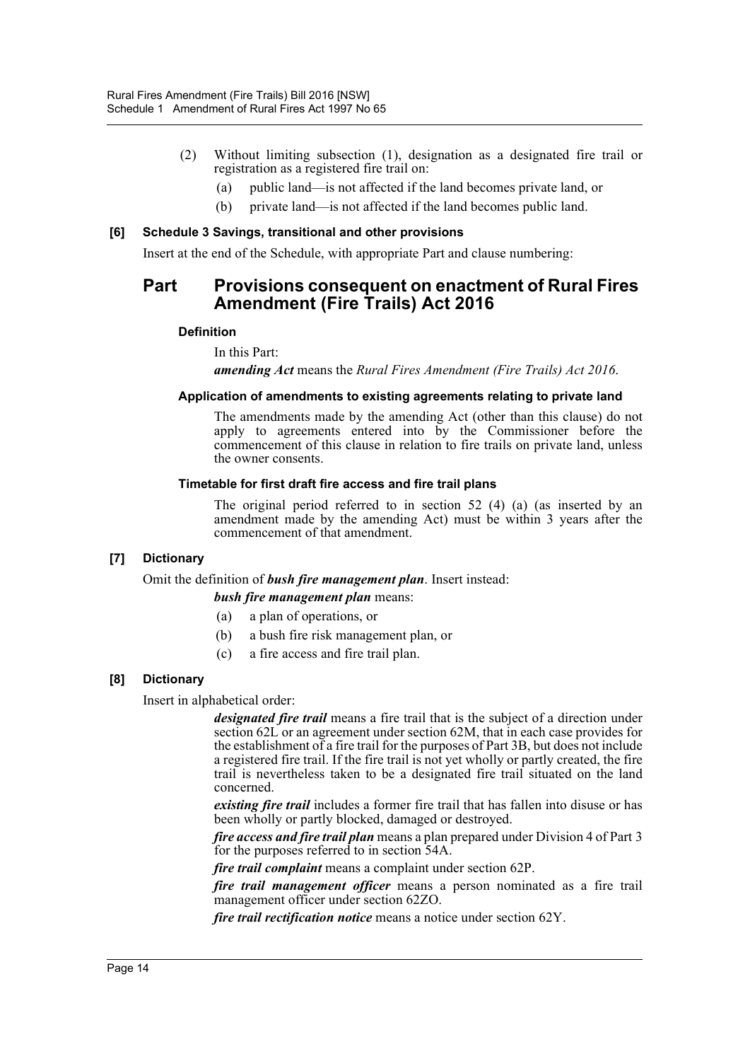- (2) Without limiting subsection (1), designation as a designated fire trail or registration as a registered fire trail on:
	- (a) public land—is not affected if the land becomes private land, or
	- (b) private land—is not affected if the land becomes public land.

#### **[6] Schedule 3 Savings, transitional and other provisions**

Insert at the end of the Schedule, with appropriate Part and clause numbering:

# **Part Provisions consequent on enactment of Rural Fires Amendment (Fire Trails) Act 2016**

## **Definition**

In this Part:

*amending Act* means the *Rural Fires Amendment (Fire Trails) Act 2016*.

#### **Application of amendments to existing agreements relating to private land**

The amendments made by the amending Act (other than this clause) do not apply to agreements entered into by the Commissioner before the commencement of this clause in relation to fire trails on private land, unless the owner consents.

#### **Timetable for first draft fire access and fire trail plans**

The original period referred to in section  $52(4)$  (a) (as inserted by an amendment made by the amending Act) must be within 3 years after the commencement of that amendment.

## **[7] Dictionary**

Omit the definition of *bush fire management plan*. Insert instead:

#### *bush fire management plan* means:

- (a) a plan of operations, or
- (b) a bush fire risk management plan, or
- (c) a fire access and fire trail plan.

## **[8] Dictionary**

Insert in alphabetical order:

*designated fire trail* means a fire trail that is the subject of a direction under section 62L or an agreement under section 62M, that in each case provides for the establishment of a fire trail for the purposes of Part 3B, but does not include a registered fire trail. If the fire trail is not yet wholly or partly created, the fire trail is nevertheless taken to be a designated fire trail situated on the land concerned.

*existing fire trail* includes a former fire trail that has fallen into disuse or has been wholly or partly blocked, damaged or destroyed.

*fire access and fire trail plan* means a plan prepared under Division 4 of Part 3 for the purposes referred to in section 54A.

*fire trail complaint* means a complaint under section 62P.

*fire trail management officer* means a person nominated as a fire trail management officer under section 62ZO.

*fire trail rectification notice* means a notice under section 62Y.